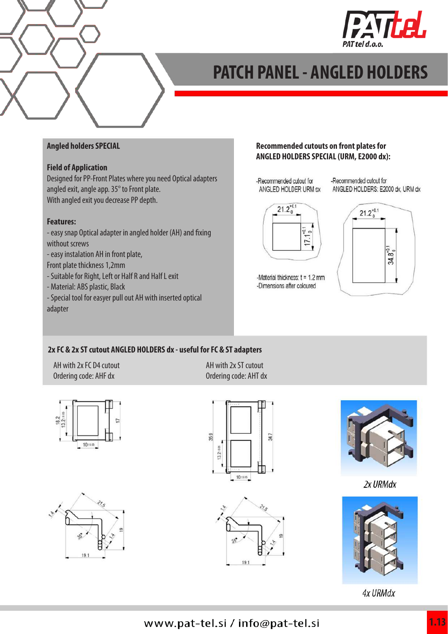

# **PATCH PANEL - ANGLED HOLDERS**

### **Angled holders SPECIAL**

### **Field of Application**

Designed for PP-Front Plates where you need Optical adapters angled exit, angle app. 35° to Front plate. With angled exit you decrease PP depth.

#### **Features:**

- easy snap Optical adapter in angled holder (AH) and fixing without screws

- easy instalation AH in front plate,
- Front plate thickness 1,2mm
- Suitable for Right, Left or Half R and Half L exit
- Material: ABS plastic, Black

- Special tool for easyer pull out AH with inserted optical adapter

### **Recommended cutouts on front plates for ANGLED HOLDERS SPECIAL (URM, E2000 dx):**

-Recommended cutout for ANGLED HOLDER URM SX -Recommended cutout for ANGLED HOLDERS: E2000 dx, URM dx





-Material thickness:  $t = 1.2$  mm -Dimensions after coloured

### **2x FC & 2x ST cutout ANGLED HOLDERS dx - useful for FC & ST adapters**

AH with 2x FC D4 cutout Ordering code: AHF dx

AH with 2x ST cutout Ordering code: AHT dx











2x URMdx



**4x URMdx**